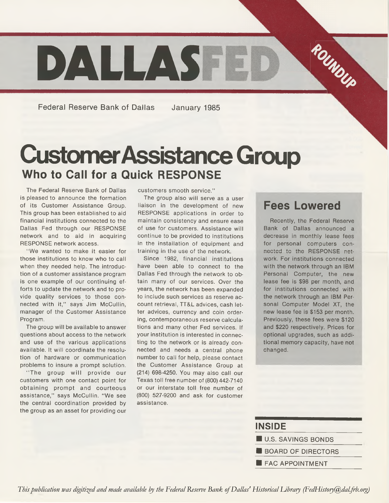

Federal Reserve Bank of Dallas January 1985

# **Customer Assistance Group Who to Call for a Quick RESPONSE**

The Federal Reserve Bank of Dallas is pleased to announce the formation of its Customer Assistance Group. This group has been established to aid financial institutions connected to the Dallas Fed through our RESPONSE network and to aid in acquiring RESPONSE network access.

" We wanted to make it easier for those institutions to know who to call when they needed help. The introduction of a customer assistance program is one example of our continuing efforts to update the network and to provide quality services to those connected with it," says Jim McCullin, manager of the Customer Assistance Program.

The group will be available to answer questions about access to the network and use of the various applications available. It will coordinate the resolution of hardware or communication problems to insure a prompt solution.

"The group will provide our customers with one contact point for obtaining prompt and courteous assistance," says McCullin. "We see the central coordination provided by the group as an asset for providing our customers smooth service."

The group also will serve as a user liaison in the development of new RESPONSE applications in order to maintain consistency and ensure ease of use for customers. Assistance will continue to be provided to institutions in the installation of equipment and training in the use of the network.

Since 1982, financial institutions have been able to connect to the Dallas Fed through the network to obtain many of our services. Over the years, the network has been expanded to include such services as reserve account retrieval, TT&L advices, cash letter advices, currency and coin ordering, contemporaneous reserve calculations and many other Fed services. If your institution is interested in connecting to the network or is already connected and needs a central phone number to call for help, please contact the Customer Assistance Group at (214) 698-4250. You may also call our Texas toll free number of (800) 442-7140 or our interstate toll free number of (800) 527-9200 and ask for customer assistance.

#### **Fees Lowered**

Recently, the Federal Reserve Bank of Dallas announced a decrease in monthly lease fees for personal computers connected to the RESPONSE network. For institutions connected with the network through an IBM Personal Computer, the new lease fee is \$98 per month, and for institutions connected with the network through an IBM Personal Computer Model XT, the new lease fee is \$153 per month. Previously, these fees were \$120 and \$220 respectively. Prices for optional upgrades, such as additional memory capacity, have not changed.

| <b>INSIDE</b>             |
|---------------------------|
| <b>U.S. SAVINGS BONDS</b> |
| <b>BOARD OF DIRECTORS</b> |
| <b>FAC APPOINTMENT</b>    |

*This publication was digitized and made available by the Federal Reserve Bank of Dallas' Historical Library (FedHistory@dal.frb.org)*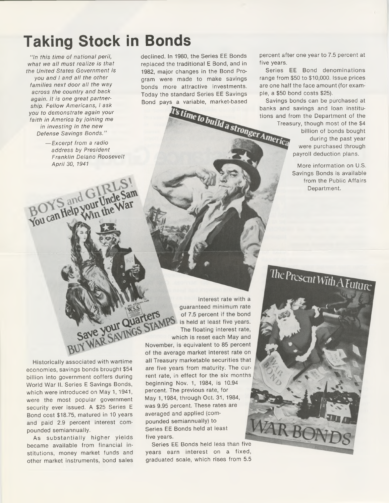## **Taking Stock in Bonds**

*" In this time of national peril, what we all must realize is that the United States Government is you and I and all the other families next door all the way across the country and back again. It is one great partnership. Fellow Americans, I ask you to demonstrate again your faith in America by joining me in investing in the new Defense Savings Bonds."*

> — *Excerpt from a radio address by President Franklin Delano Roosevelt April 30, 1941*

BOYS and GIRLS!

declined. In 1980, the Series EE Bonds replaced the traditional E Bond, and in 1982, major changes in the Bond Program were made to make savings bonds more attractive investments. Today the standard Series EE Savings Bond pays a variable, market-based<br> **Examples** banks and<br> **Example 18 IS INTEREMENT DEPARTMENTICAL SET AMERICA** 

percent after one year to 7.5 percent at five years.

Series EE Bond denominations range from \$50 to \$10,000. Issue prices are one half the face amount (for example, a \$50 bond costs \$25).

Savings bonds can be purchased at banks and savings and loan institutions and from the Department of the

Treasury, though most of the \$4 billion of bonds bought during the past year were purchased through payroll deduction plans.

> More information on U.S. Savings Bonds is available from the Public Affairs Department.

The Present With A Future

 $R$  $R$ 

interest rate with a guaranteed minimum rate of 7.5 percent if the bond is held at least five years. The floating interest rate,

Historically associated with wartime economies, savings bonds brought \$54 billion into government coffers during World War II. Series E Savings Bonds, which were introduced on May 1, 1941, were the most popular government security ever issued. A \$25 Series E Bond cost \$18.75, matured in 10 years and paid 2.9 percent interest compounded semiannually.

As substantially higher yields became available from financial institutions, money market funds and other market instruments, bond sales

which is reset each May and November, is equivalent to 85 percent of the average market interest rate on all Treasury marketable securities that are five years from maturity. The current rate, in effect for the six months beginning Nov. 1, 1984, is 10.94 percent. The previous rate, for May 1,1984, through Oct. 31, 1984, was 9.95 percent. These rates are averaged and applied (compounded semiannually) to Series EE Bonds held at least five years.

Series EE Bonds held less than five years earn interest on a fixed, graduated scale, which rises from 5.5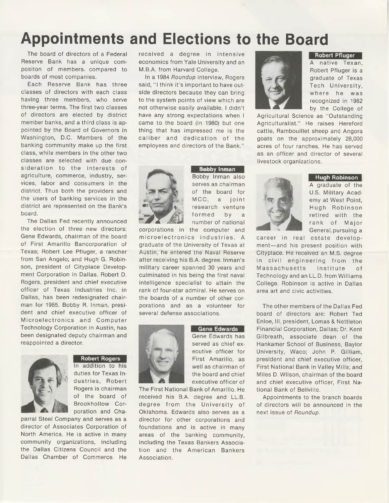## **Appointments and Elections to the Board**

The board of directors of a Federal Reserve Bank has a unique compositon of members, compared to boards of most companies.

Each Reserve Bank has three classes of directors with each class having three members, who serve three-year terms. The first two classes of directors are elected by district member banks, and a third class is appointed by the Board of Governors in Washington, D.C. Members of the banking community make up the first class, while members in the other two classes are selected with due consideration to the interests of agriculture, commerce, industry, services, labor and consumers in the district. Thus both the providers and the users of banking services in the district are represented on the Bank's board.

The Dallas Fed recently announced the election of three new directors: Gene Edwards, chairman of the board of First Amarillo Bancorporation of Texas; Robert Lee Pfluger, a rancher from San Angelo; and Hugh G. Robinson, president of Cityplace Development Corporation in Dallas. Robert D. Rogers, president and chief executive officer of Texas Industries Inc. in Dallas, has been redesignated chairman for 1985. Bobby R. Inman, president and chief executive officer of Microelectronics and Computer Technology Corporation in Austin, has been designated deputy chairman and reappointed a director.



#### **Robert Rogers**

In addition to his duties for Texas Industries, Robert Rogers is chairman of the board of Brookhollow Corporation and Cha-

parral Steel Company and serves as a director of Associates Corporation of North America. He is active in many community organizations, including the Dallas Citizens Council and the Dallas Chamber of Commerce. He

received a degree in intensive economics from Yale University and an M.B.A. from Harvard College.

In a 1984 *Roundup* interview, Rogers said, "I think it's important to have outside directors because they can bring to the system points of view which are not otherwise easily available. I didn't have any strong expectations when I came to the board (in 1980) but one thing that has impressed me is the caliber and dedication of the employees and directors of the Bank.''



**Bobby Inman** Bobby Inman also serves as chairman A graduate of the contract of the contract of the contract of the contract of the contract of the contract of the contract of the contract of the contract of the contract of the contract of the contract **Figure 1** formed by a number of national corporations in the computer and

microelectronics industries. A graduate of the University of Texas at Austin, he entered the Naval Reserve after receiving his B.A. degree. Inman's military career spanned 30 years and culminated in his being the first naval intelligence specialist to attain the rank of four-star admiral. He serves on the boards of a number of other corporations and as a volunteer for several defense associations.



**Gene Edwards** Gene Edwards has served as chief executive officer for First Amarillo, as well as chairman of the board and chief executive officer of

The First National Bank of Amarillo. He received his B.A. degree and LL.B. degree from the University of Oklahoma. Edwards also serves as a director for other corporations and foundations and is active in many areas of the banking community, including the Texas Bankers Association and the American Bankers Association.



**Robert Pfluger**

A native Texan, Robert Pfluger is a graduate of Texas Tech University, where he was recognized in 1982 by the College of

Agricultural Science as "Outstanding Agriculturalist." He raises Hereford cattle, Rambouillet sheep and Angora goats on the approximately 28,000 acres of four ranches. He has served as an officer and director of several livestock organizations.



**Hugh Robinson 1**

U.S. Military Acad-MCC, a joint  $\sqrt{3}$  and  $\sqrt{4}$  emy at West Point, *m* 11 research venture **Hugh Robinson** retired with the rank of Major General, pursuing a

career in real estate development—and his present position with Cityplace. He received an M.S. degree in civil engineering from the Massachusetts Institute of Technology and an LL.D. from Williams College. Robinson is active in Dallas area art and civic activities.

The other members of the Dallas Fed board of directors are: Robert Ted Enloe, III, president, Lomas & Nettleton Financial Corporation, Dallas; Dr. Kent Gilbreath, associate dean of the Hankamer School of Business, Baylor University, Waco; John P. Gilliam, president and chief executive officer, First National Bank in Valley Mills; and Miles D. Wilson, chairman of the board and chief executive officer, First National Bank of Bellville.

Appointments to the branch boards of directors will be announced in the next issue of *Roundup.*